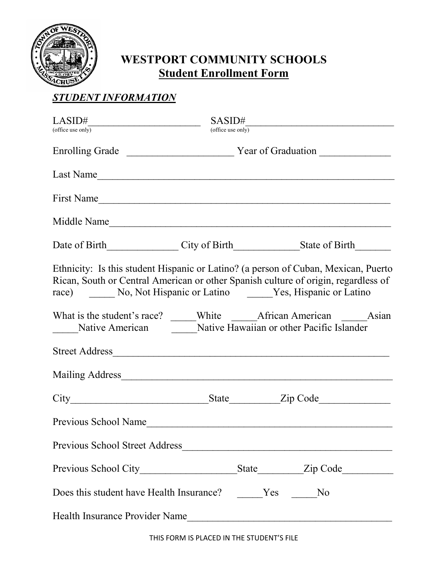

## **WESTPORT COMMUNITY SCHOOLS Student Enrollment Form**

## *STUDENT INFORMATION*

| LASID#<br><u> 1989 - Johann Barbara, martin a</u>                                                                                                                                                                                    | SASID#            |  |  |
|--------------------------------------------------------------------------------------------------------------------------------------------------------------------------------------------------------------------------------------|-------------------|--|--|
| (office use only)                                                                                                                                                                                                                    | (office use only) |  |  |
|                                                                                                                                                                                                                                      |                   |  |  |
| Last Name                                                                                                                                                                                                                            |                   |  |  |
| First Name                                                                                                                                                                                                                           |                   |  |  |
| Middle Name                                                                                                                                                                                                                          |                   |  |  |
| Date of Birth City of Birth State of Birth                                                                                                                                                                                           |                   |  |  |
| Ethnicity: Is this student Hispanic or Latino? (a person of Cuban, Mexican, Puerto<br>Rican, South or Central American or other Spanish culture of origin, regardless of<br>race) No, Not Hispanic or Latino Yes, Hispanic or Latino |                   |  |  |
| Native American Native Hawaiian or other Pacific Islander                                                                                                                                                                            |                   |  |  |
|                                                                                                                                                                                                                                      |                   |  |  |
| Mailing Address                                                                                                                                                                                                                      |                   |  |  |
|                                                                                                                                                                                                                                      |                   |  |  |
| Previous School Name                                                                                                                                                                                                                 |                   |  |  |
| Previous School Street Address                                                                                                                                                                                                       |                   |  |  |
|                                                                                                                                                                                                                                      |                   |  |  |
| Does this student have Health Insurance? Yes No                                                                                                                                                                                      |                   |  |  |
| Health Insurance Provider Name                                                                                                                                                                                                       |                   |  |  |

THIS FORM IS PLACED IN THE STUDENT'S FILE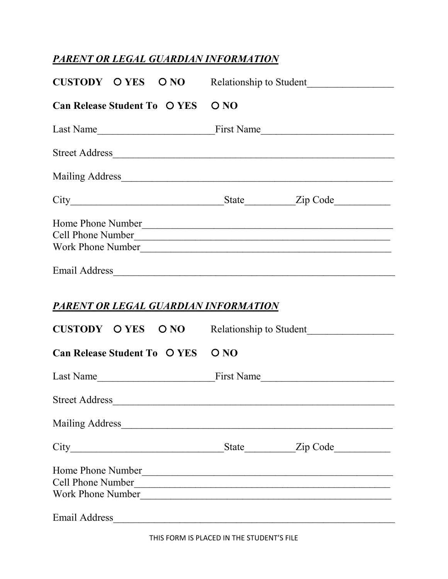## *PARENT OR LEGAL GUARDIAN INFORMATION*

| CUSTODY O YES O NO Relationship to Student                                   |      |                         |
|------------------------------------------------------------------------------|------|-------------------------|
| <b>Can Release Student To O YES</b>                                          | O NO |                         |
|                                                                              |      |                         |
| Street Address                                                               |      |                         |
|                                                                              |      |                         |
|                                                                              |      |                         |
| Home Phone Number<br>Cell Phone Number<br>Work Phone Number<br>Email Address |      |                         |
| PARENT OR LEGAL GUARDIAN INFORMATION<br>CUSTODY OYES ONO                     |      | Relationship to Student |
| <b>Can Release Student To O YES</b>                                          | O NO |                         |
|                                                                              |      |                         |
| <b>Street Address</b>                                                        |      |                         |
|                                                                              |      |                         |
|                                                                              |      |                         |
| Home Phone Number<br>Cell Phone Number<br>Work Phone Number                  |      |                         |
| Email Address                                                                |      |                         |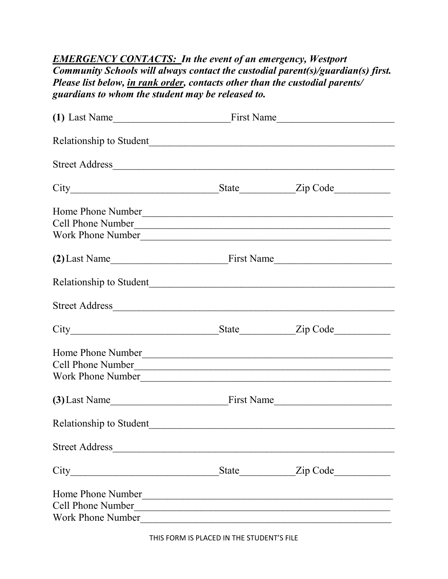## *EMERGENCY CONTACTS: In the event of an emergency, Westport Community Schools will always contact the custodial parent(s)/guardian(s) first. Please list below, in rank order, contacts other than the custodial parents/ guardians to whom the student may be released to.*

|                                     | (1) Last Name First Name First Name |                |  |
|-------------------------------------|-------------------------------------|----------------|--|
|                                     |                                     |                |  |
| Street Address                      |                                     |                |  |
|                                     |                                     |                |  |
| Home Phone Number                   |                                     |                |  |
| Cell Phone Number                   |                                     |                |  |
|                                     |                                     |                |  |
| $(2)$ Last Name                     |                                     |                |  |
|                                     |                                     |                |  |
| Street Address                      |                                     |                |  |
|                                     |                                     |                |  |
| Home Phone Number                   |                                     |                |  |
| Cell Phone Number                   |                                     |                |  |
| Work Phone Number                   |                                     |                |  |
| (3) Last Name First Name First Name |                                     |                |  |
|                                     |                                     |                |  |
| Street Address                      |                                     |                |  |
|                                     |                                     | State Zip Code |  |
| Home Phone Number                   |                                     |                |  |
| <b>Cell Phone Number</b>            |                                     |                |  |
| Work Phone Number                   |                                     |                |  |

THIS FORM IS PLACED IN THE STUDENT'S FILE